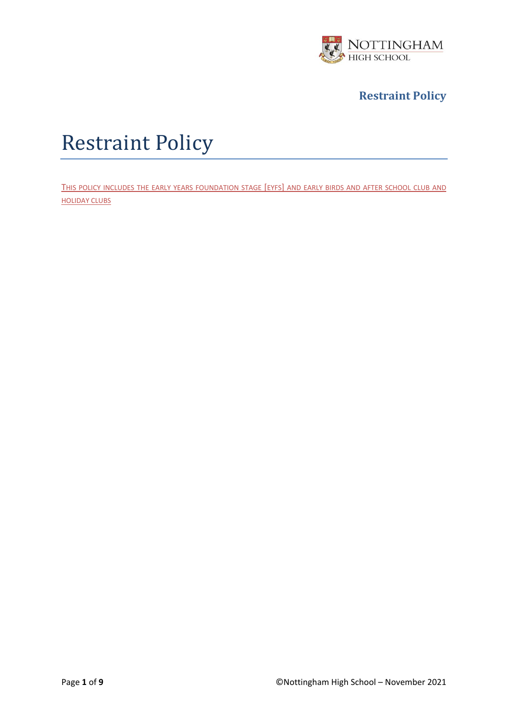

# Restraint Policy

THIS POLICY INCLUDES THE EARLY YEARS FOUNDATION STAGE [EYFS] AND EARLY BIRDS AND AFTER SCHOOL CLUB AND HOLIDAY CLUBS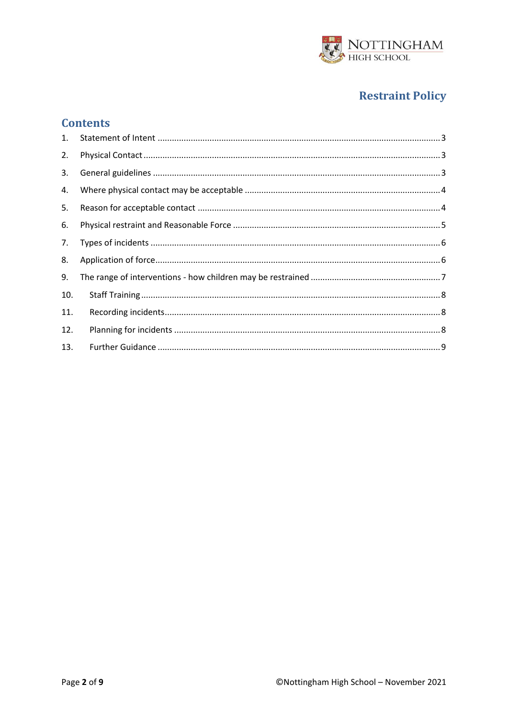

## **Contents**

| 2.  |  |
|-----|--|
| 3.  |  |
| 4.  |  |
| 5.  |  |
| 6.  |  |
| 7.  |  |
| 8.  |  |
| 9.  |  |
| 10. |  |
| 11. |  |
| 12. |  |
| 13. |  |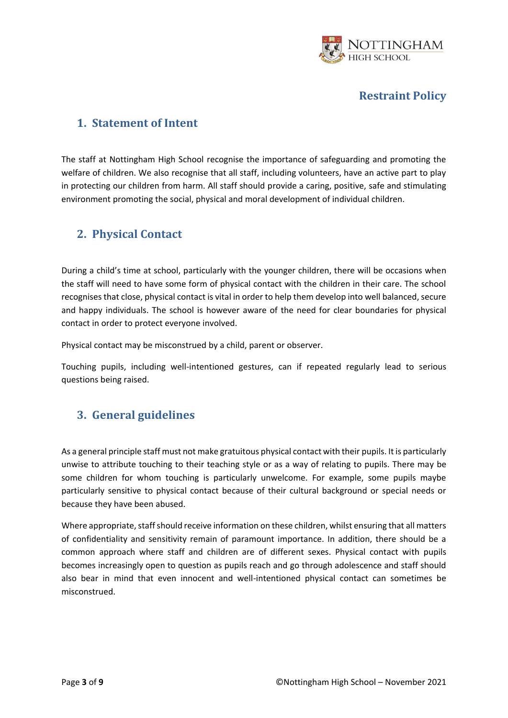

#### <span id="page-2-0"></span>**1. Statement of Intent**

The staff at Nottingham High School recognise the importance of safeguarding and promoting the welfare of children. We also recognise that all staff, including volunteers, have an active part to play in protecting our children from harm. All staff should provide a caring, positive, safe and stimulating environment promoting the social, physical and moral development of individual children.

#### <span id="page-2-1"></span>**2. Physical Contact**

During a child's time at school, particularly with the younger children, there will be occasions when the staff will need to have some form of physical contact with the children in their care. The school recognises that close, physical contact is vital in order to help them develop into well balanced, secure and happy individuals. The school is however aware of the need for clear boundaries for physical contact in order to protect everyone involved.

Physical contact may be misconstrued by a child, parent or observer.

Touching pupils, including well-intentioned gestures, can if repeated regularly lead to serious questions being raised.

## <span id="page-2-2"></span>**3. General guidelines**

As a general principle staff must not make gratuitous physical contact with their pupils. It is particularly unwise to attribute touching to their teaching style or as a way of relating to pupils. There may be some children for whom touching is particularly unwelcome. For example, some pupils maybe particularly sensitive to physical contact because of their cultural background or special needs or because they have been abused.

Where appropriate, staff should receive information on these children, whilst ensuring that all matters of confidentiality and sensitivity remain of paramount importance. In addition, there should be a common approach where staff and children are of different sexes. Physical contact with pupils becomes increasingly open to question as pupils reach and go through adolescence and staff should also bear in mind that even innocent and well-intentioned physical contact can sometimes be misconstrued.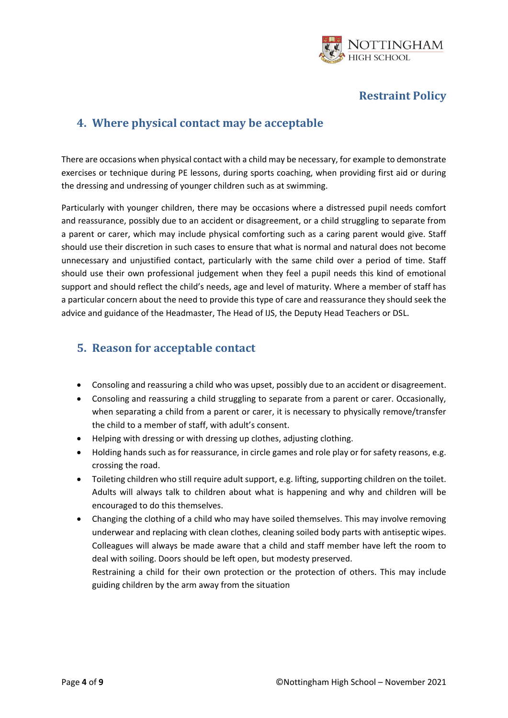

## <span id="page-3-0"></span>**4. Where physical contact may be acceptable**

There are occasions when physical contact with a child may be necessary, for example to demonstrate exercises or technique during PE lessons, during sports coaching, when providing first aid or during the dressing and undressing of younger children such as at swimming.

Particularly with younger children, there may be occasions where a distressed pupil needs comfort and reassurance, possibly due to an accident or disagreement, or a child struggling to separate from a parent or carer, which may include physical comforting such as a caring parent would give. Staff should use their discretion in such cases to ensure that what is normal and natural does not become unnecessary and unjustified contact, particularly with the same child over a period of time. Staff should use their own professional judgement when they feel a pupil needs this kind of emotional support and should reflect the child's needs, age and level of maturity. Where a member of staff has a particular concern about the need to provide this type of care and reassurance they should seek the advice and guidance of the Headmaster, The Head of IJS, the Deputy Head Teachers or DSL.

## <span id="page-3-1"></span>**5. Reason for acceptable contact**

- Consoling and reassuring a child who was upset, possibly due to an accident or disagreement.
- Consoling and reassuring a child struggling to separate from a parent or carer. Occasionally, when separating a child from a parent or carer, it is necessary to physically remove/transfer the child to a member of staff, with adult's consent.
- Helping with dressing or with dressing up clothes, adjusting clothing.
- Holding hands such as for reassurance, in circle games and role play or for safety reasons, e.g. crossing the road.
- Toileting children who still require adult support, e.g. lifting, supporting children on the toilet. Adults will always talk to children about what is happening and why and children will be encouraged to do this themselves.
- Changing the clothing of a child who may have soiled themselves. This may involve removing underwear and replacing with clean clothes, cleaning soiled body parts with antiseptic wipes. Colleagues will always be made aware that a child and staff member have left the room to deal with soiling. Doors should be left open, but modesty preserved.

Restraining a child for their own protection or the protection of others. This may include guiding children by the arm away from the situation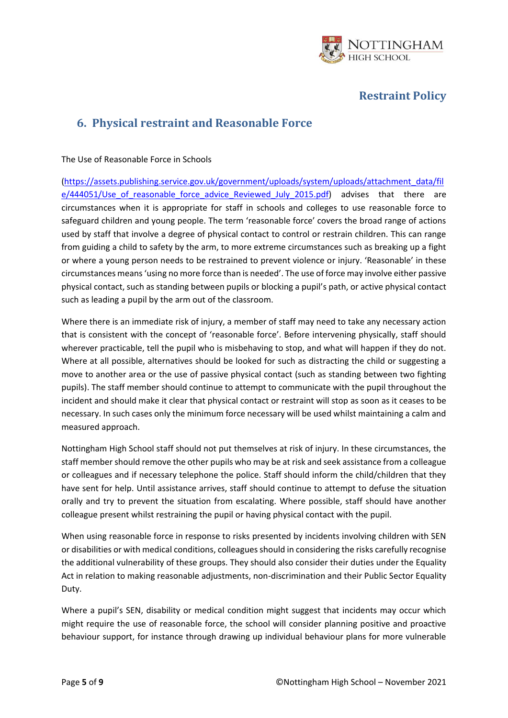

#### <span id="page-4-0"></span>**6. Physical restraint and Reasonable Force**

The Use of Reasonable Force in Schools

[\(https://assets.publishing.service.gov.uk/government/uploads/system/uploads/attachment\\_data/fil](https://assets.publishing.service.gov.uk/government/uploads/system/uploads/attachment_data/file/444051/Use_of_reasonable_force_advice_Reviewed_July_2015.pdf) e/444051/Use of reasonable force advice Reviewed July 2015.pdf) advises that there are circumstances when it is appropriate for staff in schools and colleges to use reasonable force to safeguard children and young people. The term 'reasonable force' covers the broad range of actions used by staff that involve a degree of physical contact to control or restrain children. This can range from guiding a child to safety by the arm, to more extreme circumstances such as breaking up a fight or where a young person needs to be restrained to prevent violence or injury. 'Reasonable' in these circumstances means 'using no more force than is needed'. The use of force may involve either passive physical contact, such as standing between pupils or blocking a pupil's path, or active physical contact such as leading a pupil by the arm out of the classroom.

Where there is an immediate risk of injury, a member of staff may need to take any necessary action that is consistent with the concept of 'reasonable force'. Before intervening physically, staff should wherever practicable, tell the pupil who is misbehaving to stop, and what will happen if they do not. Where at all possible, alternatives should be looked for such as distracting the child or suggesting a move to another area or the use of passive physical contact (such as standing between two fighting pupils). The staff member should continue to attempt to communicate with the pupil throughout the incident and should make it clear that physical contact or restraint will stop as soon as it ceases to be necessary. In such cases only the minimum force necessary will be used whilst maintaining a calm and measured approach.

Nottingham High School staff should not put themselves at risk of injury. In these circumstances, the staff member should remove the other pupils who may be at risk and seek assistance from a colleague or colleagues and if necessary telephone the police. Staff should inform the child/children that they have sent for help. Until assistance arrives, staff should continue to attempt to defuse the situation orally and try to prevent the situation from escalating. Where possible, staff should have another colleague present whilst restraining the pupil or having physical contact with the pupil.

When using reasonable force in response to risks presented by incidents involving children with SEN or disabilities or with medical conditions, colleagues should in considering the risks carefully recognise the additional vulnerability of these groups. They should also consider their duties under the Equality Act in relation to making reasonable adjustments, non-discrimination and their Public Sector Equality Duty.

Where a pupil's SEN, disability or medical condition might suggest that incidents may occur which might require the use of reasonable force, the school will consider planning positive and proactive behaviour support, for instance through drawing up individual behaviour plans for more vulnerable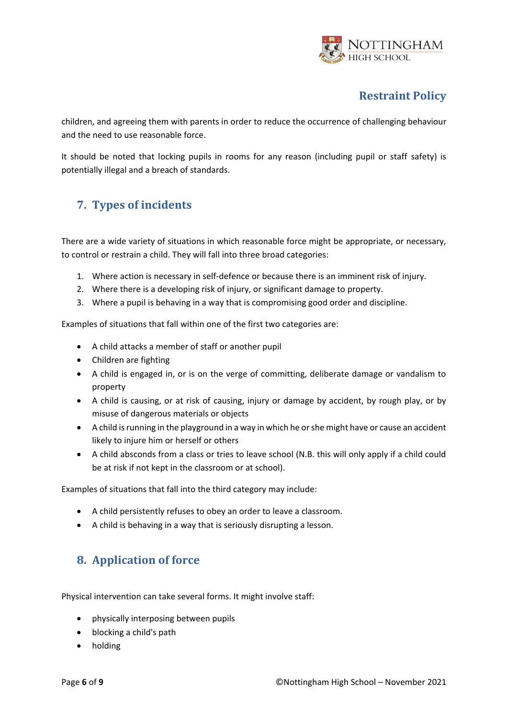

children, and agreeing them with parents in order to reduce the occurrence of challenging behaviour and the need to use reasonable force.

It should be noted that locking pupils in rooms for any reason (including pupil or staff safety) is potentially illegal and a breach of standards.

# <span id="page-5-0"></span>**7. Types of incidents**

There are a wide variety of situations in which reasonable force might be appropriate, or necessary, to control or restrain a child. They will fall into three broad categories:

- 1. Where action is necessary in self-defence or because there is an imminent risk of injury.
- 2. Where there is a developing risk of injury, or significant damage to property.
- 3. Where a pupil is behaving in a way that is compromising good order and discipline.

Examples of situations that fall within one of the first two categories are:

- A child attacks a member of staff or another pupil
- Children are fighting
- A child is engaged in, or is on the verge of committing, deliberate damage or vandalism to property
- A child is causing, or at risk of causing, injury or damage by accident, by rough play, or by misuse of dangerous materials or objects
- A child is running in the playground in a way in which he or she might have or cause an accident likely to injure him or herself or others
- A child absconds from a class or tries to leave school (N.B. this will only apply if a child could be at risk if not kept in the classroom or at school).

Examples of situations that fall into the third category may include:

- A child persistently refuses to obey an order to leave a classroom.
- A child is behaving in a way that is seriously disrupting a lesson.

# <span id="page-5-1"></span>**8. Application of force**

Physical intervention can take several forms. It might involve staff:

- physically interposing between pupils
- blocking a child's path
- holding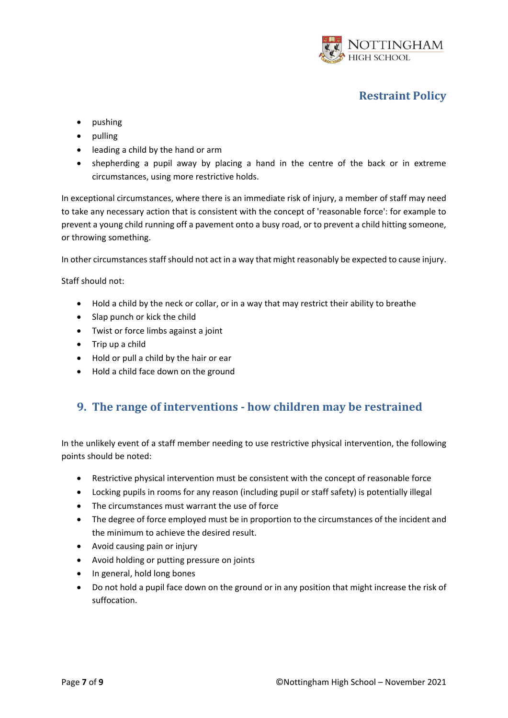

- pushing
- pulling
- leading a child by the hand or arm
- shepherding a pupil away by placing a hand in the centre of the back or in extreme circumstances, using more restrictive holds.

In exceptional circumstances, where there is an immediate risk of injury, a member of staff may need to take any necessary action that is consistent with the concept of 'reasonable force': for example to prevent a young child running off a pavement onto a busy road, or to prevent a child hitting someone, or throwing something.

In other circumstances staff should not act in a way that might reasonably be expected to cause injury.

Staff should not:

- Hold a child by the neck or collar, or in a way that may restrict their ability to breathe
- Slap punch or kick the child
- Twist or force limbs against a joint
- Trip up a child
- Hold or pull a child by the hair or ear
- Hold a child face down on the ground

## <span id="page-6-0"></span>**9. The range of interventions - how children may be restrained**

In the unlikely event of a staff member needing to use restrictive physical intervention, the following points should be noted:

- Restrictive physical intervention must be consistent with the concept of reasonable force
- Locking pupils in rooms for any reason (including pupil or staff safety) is potentially illegal
- The circumstances must warrant the use of force
- The degree of force employed must be in proportion to the circumstances of the incident and the minimum to achieve the desired result.
- Avoid causing pain or injury
- Avoid holding or putting pressure on joints
- In general, hold long bones
- Do not hold a pupil face down on the ground or in any position that might increase the risk of suffocation.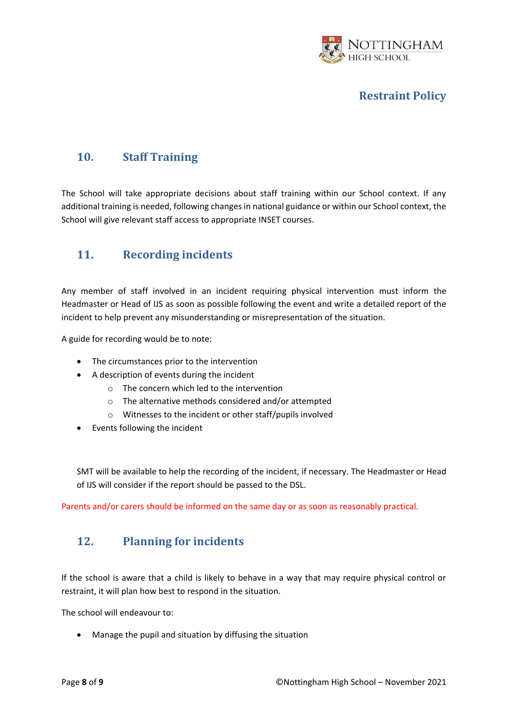

# <span id="page-7-0"></span>**10. Staff Training**

The School will take appropriate decisions about staff training within our School context. If any additional training is needed, following changes in national guidance or within our School context, the School will give relevant staff access to appropriate INSET courses.

# <span id="page-7-1"></span>**11. Recording incidents**

Any member of staff involved in an incident requiring physical intervention must inform the Headmaster or Head of IJS as soon as possible following the event and write a detailed report of the incident to help prevent any misunderstanding or misrepresentation of the situation.

A guide for recording would be to note:

- The circumstances prior to the intervention
- A description of events during the incident
	- $\circ$  The concern which led to the intervention
	- o The alternative methods considered and/or attempted
	- o Witnesses to the incident or other staff/pupils involved
- Events following the incident

SMT will be available to help the recording of the incident, if necessary. The Headmaster or Head of IJS will consider if the report should be passed to the DSL.

<span id="page-7-2"></span>Parents and/or carers should be informed on the same day or as soon as reasonably practical.

## **12. Planning for incidents**

If the school is aware that a child is likely to behave in a way that may require physical control or restraint, it will plan how best to respond in the situation.

The school will endeavour to:

• Manage the pupil and situation by diffusing the situation